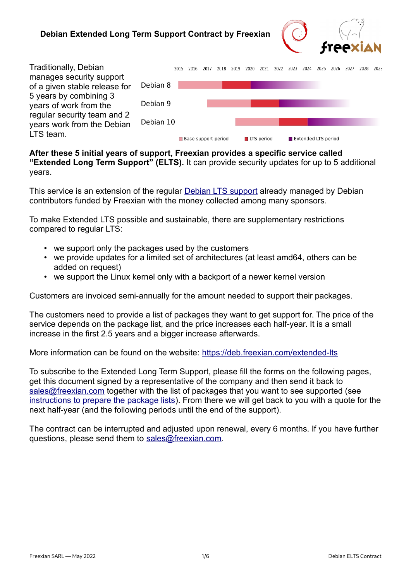**Debian Extended Long Term Support Contract by Freexian**



| <b>Traditionally, Debian</b>  |           | 2015 | 2016                  | 2017 | 2018 | 2019 | 2020 | 2021                | 2022 | 2023 | 2024                | 2025 | 2026 | 2027 | 2028 | 2029 |
|-------------------------------|-----------|------|-----------------------|------|------|------|------|---------------------|------|------|---------------------|------|------|------|------|------|
| manages security support      |           |      |                       |      |      |      |      |                     |      |      |                     |      |      |      |      |      |
| of a given stable release for | Debian 8  |      |                       |      |      |      |      |                     |      |      |                     |      |      |      |      |      |
| 5 years by combining 3        |           |      |                       |      |      |      |      |                     |      |      |                     |      |      |      |      |      |
| years of work from the        | Debian 9  |      |                       |      |      |      |      |                     |      |      |                     |      |      |      |      |      |
| regular security team and 2   |           |      |                       |      |      |      |      |                     |      |      |                     |      |      |      |      |      |
| years work from the Debian    | Debian 10 |      |                       |      |      |      |      |                     |      |      |                     |      |      |      |      |      |
| LTS team.                     |           |      | ■ Base support period |      |      |      |      | <b>■ LTS period</b> |      |      | Extended LTS period |      |      |      |      |      |

**After these 5 initial years of support, Freexian provides a specific service called "Extended Long Term Support" (ELTS).** It can provide security updates for up to 5 additional years.

This service is an extension of the regular [Debian LTS support](https://www.freexian.com/services/debian-lts.html) already managed by Debian contributors funded by Freexian with the money collected among many sponsors.

To make Extended LTS possible and sustainable, there are supplementary restrictions compared to regular LTS:

- we support only the packages used by the customers
- we provide updates for a limited set of architectures (at least amd64, others can be added on request)
- we support the Linux kernel only with a backport of a newer kernel version

Customers are invoiced semi-annually for the amount needed to support their packages.

The customers need to provide a list of packages they want to get support for. The price of the service depends on the package list, and the price increases each half-year. It is a small increase in the first 2.5 years and a bigger increase afterwards.

More information can be found on the website: https://deb.freexian.com/extended-lts

To subscribe to the Extended Long Term Support, please fill the forms on the following pages, get this document signed by a representative of the company and then send it back to [sales@freexian.com](mailto:sales@freexian.com) together with the list of packages that you want to see supported (see [instructions to prepare the package lists](https://deb.freexian.com/extended-lts/docs/how-to-build-a-package-list/)). From there we will get back to you with a quote for the next half-year (and the following periods until the end of the support).

The contract can be interrupted and adjusted upon renewal, every 6 months. If you have further questions, please send them to [sales@freexian.com](mailto:sales@freexian.com).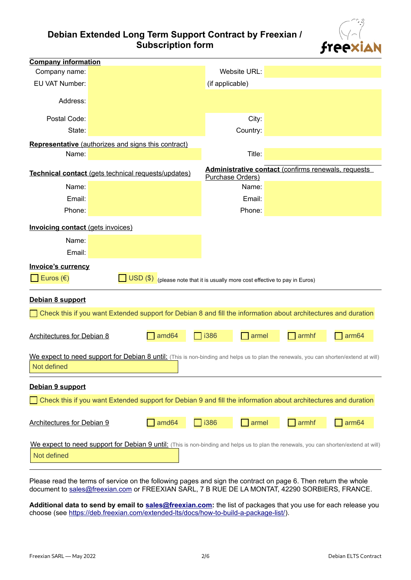# **Debian Extended Long Term Support Contract by Freexian / Subscription form**



| <b>Company information</b>               |                                                                                                                                       |                                                                         |       |                   |  |  |  |  |
|------------------------------------------|---------------------------------------------------------------------------------------------------------------------------------------|-------------------------------------------------------------------------|-------|-------------------|--|--|--|--|
| Company name:                            |                                                                                                                                       | Website URL:                                                            |       |                   |  |  |  |  |
| <b>EU VAT Number:</b>                    |                                                                                                                                       | (if applicable)                                                         |       |                   |  |  |  |  |
| Address:                                 |                                                                                                                                       |                                                                         |       |                   |  |  |  |  |
|                                          |                                                                                                                                       |                                                                         |       |                   |  |  |  |  |
| Postal Code:                             |                                                                                                                                       | City:                                                                   |       |                   |  |  |  |  |
| State:                                   |                                                                                                                                       | Country:                                                                |       |                   |  |  |  |  |
|                                          | <b>Representative</b> (authorizes and signs this contract)                                                                            |                                                                         |       |                   |  |  |  |  |
| Name:                                    |                                                                                                                                       | Title:                                                                  |       |                   |  |  |  |  |
|                                          | Technical contact (gets technical requests/updates)                                                                                   | Administrative contact (confirms renewals, requests<br>Purchase Orders) |       |                   |  |  |  |  |
| Name:                                    |                                                                                                                                       | Name:                                                                   |       |                   |  |  |  |  |
| Email:                                   |                                                                                                                                       | Email:                                                                  |       |                   |  |  |  |  |
| Phone:                                   |                                                                                                                                       | Phone:                                                                  |       |                   |  |  |  |  |
|                                          |                                                                                                                                       |                                                                         |       |                   |  |  |  |  |
| <b>Invoicing contact (gets invoices)</b> |                                                                                                                                       |                                                                         |       |                   |  |  |  |  |
| Name:                                    |                                                                                                                                       |                                                                         |       |                   |  |  |  |  |
| Email:                                   |                                                                                                                                       |                                                                         |       |                   |  |  |  |  |
| <b>Invoice's currency</b>                |                                                                                                                                       |                                                                         |       |                   |  |  |  |  |
| Euros $(\epsilon)$                       | $\boxed{\phantom{a} \textsf{USD} \left(\$ \right) }$ (please note that it is usually more cost effective to pay in Euros)             |                                                                         |       |                   |  |  |  |  |
|                                          |                                                                                                                                       |                                                                         |       |                   |  |  |  |  |
|                                          | Debian 8 support                                                                                                                      |                                                                         |       |                   |  |  |  |  |
|                                          | Check this if you want Extended support for Debian 8 and fill the information about architectures and duration                        |                                                                         |       |                   |  |  |  |  |
|                                          |                                                                                                                                       |                                                                         |       |                   |  |  |  |  |
| Architectures for Debian 8               | amd64                                                                                                                                 | <b>i386</b><br>armel                                                    | armhf | arm <sub>64</sub> |  |  |  |  |
|                                          | We expect to need support for Debian 8 until: (This is non-binding and helps us to plan the renewals, you can shorten/extend at will) |                                                                         |       |                   |  |  |  |  |
| Not defined                              | $\blacksquare$                                                                                                                        |                                                                         |       |                   |  |  |  |  |
|                                          |                                                                                                                                       |                                                                         |       |                   |  |  |  |  |
| Debian 9 support                         |                                                                                                                                       |                                                                         |       |                   |  |  |  |  |
|                                          | Check this if you want Extended support for Debian 9 and fill the information about architectures and duration                        |                                                                         |       |                   |  |  |  |  |
|                                          |                                                                                                                                       |                                                                         |       |                   |  |  |  |  |
| <b>Architectures for Debian 9</b>        | amd64                                                                                                                                 | $\overline{\phantom{0}}$ i386<br>armel                                  | armhf | arm <sub>64</sub> |  |  |  |  |
|                                          |                                                                                                                                       |                                                                         |       |                   |  |  |  |  |
|                                          | We expect to need support for Debian 9 until: (This is non-binding and helps us to plan the renewals, you can shorten/extend at will) |                                                                         |       |                   |  |  |  |  |
| Not defined                              | $\blacktriangledown$                                                                                                                  |                                                                         |       |                   |  |  |  |  |
|                                          |                                                                                                                                       |                                                                         |       |                   |  |  |  |  |

Please read the terms of service on the following pages and sign the contract on page 6. Then return the whole document to [sales@freexian.com](mailto:sales@freexian.com) or FREEXIAN SARL, 7 B RUE DE LA MONTAT, 42290 SORBIERS, FRANCE.

**Additional data to send by email to [sales@freexian.com](mailto:sales@freexian.com):** the list of packages that you use for each release you choose (see <https://deb.freexian.com/extended-lts/docs/how-to-build-a-package-list/>).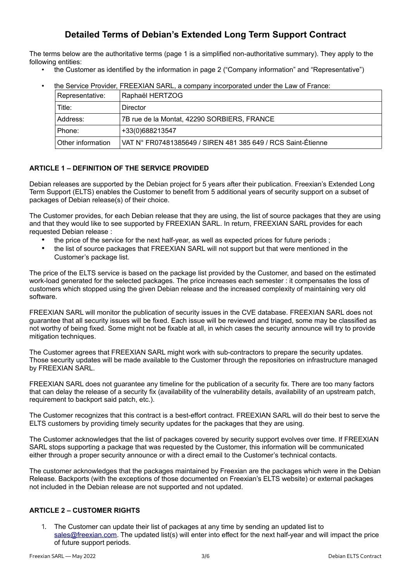# **Detailed Terms of Debian's Extended Long Term Support Contract**

The terms below are the authoritative terms (page 1 is a simplified non-authoritative summary). They apply to the following entities:

• the Customer as identified by the information in page 2 ("Company information" and "Representative")

| Representative:   | Raphaël HERTZOG                                              |
|-------------------|--------------------------------------------------------------|
| Title:            | Director                                                     |
| Address:          | 7B rue de la Montat, 42290 SORBIERS, FRANCE                  |
| Phone:            | +33(0)688213547                                              |
| Other information | VAT N° FR07481385649 / SIREN 481 385 649 / RCS Saint-Étienne |

• the Service Provider, FREEXIAN SARL, a company incorporated under the Law of France:

# **ARTICLE 1 – DEFINITION OF THE SERVICE PROVIDED**

Debian releases are supported by the Debian project for 5 years after their publication. Freexian's Extended Long Term Support (ELTS) enables the Customer to benefit from 5 additional years of security support on a subset of packages of Debian release(s) of their choice.

The Customer provides, for each Debian release that they are using, the list of source packages that they are using and that they would like to see supported by FREEXIAN SARL. In return, FREEXIAN SARL provides for each requested Debian release :

- the price of the service for the next half-year, as well as expected prices for future periods ;
- the list of source packages that FREEXIAN SARL will not support but that were mentioned in the Customer's package list.

The price of the ELTS service is based on the package list provided by the Customer, and based on the estimated work-load generated for the selected packages. The price increases each semester : it compensates the loss of customers which stopped using the given Debian release and the increased complexity of maintaining very old software.

FREEXIAN SARL will monitor the publication of security issues in the CVE database. FREEXIAN SARL does not guarantee that all security issues will be fixed. Each issue will be reviewed and triaged, some may be classified as not worthy of being fixed. Some might not be fixable at all, in which cases the security announce will try to provide mitigation techniques.

The Customer agrees that FREEXIAN SARL might work with sub-contractors to prepare the security updates. Those security updates will be made available to the Customer through the repositories on infrastructure managed by FREEXIAN SARL.

FREEXIAN SARL does not guarantee any timeline for the publication of a security fix. There are too many factors that can delay the release of a security fix (availability of the vulnerability details, availability of an upstream patch, requirement to backport said patch, etc.).

The Customer recognizes that this contract is a best-effort contract. FREEXIAN SARL will do their best to serve the ELTS customers by providing timely security updates for the packages that they are using.

The Customer acknowledges that the list of packages covered by security support evolves over time. If FREEXIAN SARL stops supporting a package that was requested by the Customer, this information will be communicated either through a proper security announce or with a direct email to the Customer's technical contacts.

The customer acknowledges that the packages maintained by Freexian are the packages which were in the Debian Release. Backports (with the exceptions of those documented on Freexian's ELTS website) or external packages not included in the Debian release are not supported and not updated.

## **ARTICLE 2 – CUSTOMER RIGHTS**

1. The Customer can update their list of packages at any time by sending an updated list to [sales@freexian.com](mailto:sales@freexian.com). The updated list(s) will enter into effect for the next half-year and will impact the price of future support periods.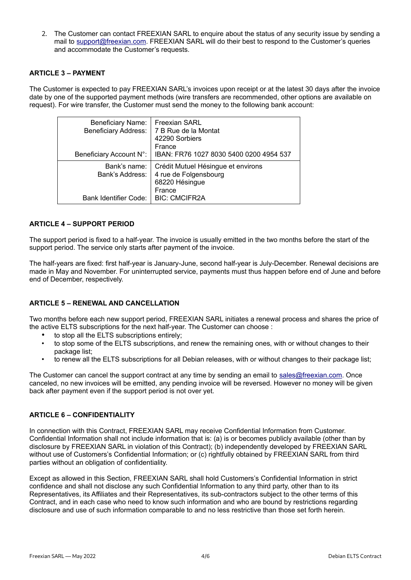2. The Customer can contact FREEXIAN SARL to enquire about the status of any security issue by sending a mail to [support@freexian.com.](mailto:support@freexian.com) FREEXIAN SARL will do their best to respond to the Customer's queries and accommodate the Customer's requests.

# **ARTICLE 3 – PAYMENT**

The Customer is expected to pay FREEXIAN SARL's invoices upon receipt or at the latest 30 days after the invoice date by one of the supported payment methods (wire transfers are recommended, other options are available on request). For wire transfer, the Customer must send the money to the following bank account:

| <b>Beneficiary Name:</b><br><b>Beneficiary Address:</b><br>Beneficiary Account N°: | <b>Freexian SARL</b><br>7 B Rue de la Montat<br>42290 Sorbiers<br>France<br>IBAN: FR76 1027 8030 5400 0200 4954 537 |
|------------------------------------------------------------------------------------|---------------------------------------------------------------------------------------------------------------------|
| Bank's name:<br>Bank's Address:<br>Bank Identifier Code:                           | Crédit Mutuel Hésingue et environs<br>4 rue de Folgensbourg<br>68220 Hésingue<br>France<br><b>BIC: CMCIFR2A</b>     |

# **ARTICLE 4 – SUPPORT PERIOD**

The support period is fixed to a half-year. The invoice is usually emitted in the two months before the start of the support period. The service only starts after payment of the invoice.

The half-years are fixed: first half-year is January-June, second half-year is July-December. Renewal decisions are made in May and November. For uninterrupted service, payments must thus happen before end of June and before end of December, respectively.

# **ARTICLE 5 – RENEWAL AND CANCELLATION**

Two months before each new support period, FREEXIAN SARL initiates a renewal process and shares the price of the active ELTS subscriptions for the next half-year. The Customer can choose :

- to stop all the ELTS subscriptions entirely;
- to stop some of the ELTS subscriptions, and renew the remaining ones, with or without changes to their package list;
- to renew all the ELTS subscriptions for all Debian releases, with or without changes to their package list;

The Customer can cancel the support contract at any time by sending an email to [sales@freexian.com.](mailto:sales@freexian.com) Once canceled, no new invoices will be emitted, any pending invoice will be reversed. However no money will be given back after payment even if the support period is not over yet.

## **ARTICLE 6 – CONFIDENTIALITY**

In connection with this Contract, FREEXIAN SARL may receive Confidential Information from Customer. Confidential Information shall not include information that is: (a) is or becomes publicly available (other than by disclosure by FREEXIAN SARL in violation of this Contract); (b) independently developed by FREEXIAN SARL without use of Customers's Confidential Information; or (c) rightfully obtained by FREEXIAN SARL from third parties without an obligation of confidentiality.

Except as allowed in this Section, FREEXIAN SARL shall hold Customers's Confidential Information in strict confidence and shall not disclose any such Confidential Information to any third party, other than to its Representatives, its Affiliates and their Representatives, its sub-contractors subject to the other terms of this Contract, and in each case who need to know such information and who are bound by restrictions regarding disclosure and use of such information comparable to and no less restrictive than those set forth herein.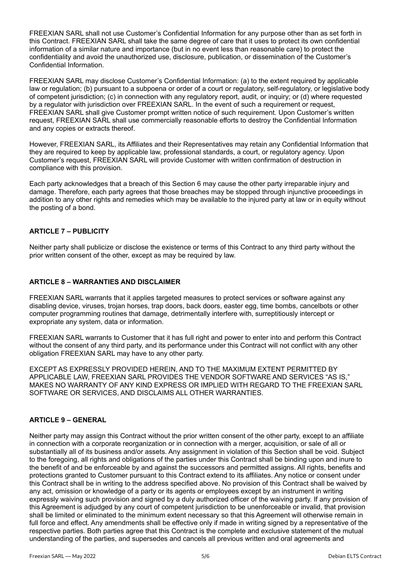FREEXIAN SARL shall not use Customer's Confidential Information for any purpose other than as set forth in this Contract. FREEXIAN SARL shall take the same degree of care that it uses to protect its own confidential information of a similar nature and importance (but in no event less than reasonable care) to protect the confidentiality and avoid the unauthorized use, disclosure, publication, or dissemination of the Customer's Confidential Information.

FREEXIAN SARL may disclose Customer's Confidential Information: (a) to the extent required by applicable law or regulation; (b) pursuant to a subpoena or order of a court or regulatory, self-regulatory, or legislative body of competent jurisdiction; (c) in connection with any regulatory report, audit, or inquiry; or (d) where requested by a regulator with jurisdiction over FREEXIAN SARL. In the event of such a requirement or request, FREEXIAN SARL shall give Customer prompt written notice of such requirement. Upon Customer's written request, FREEXIAN SARL shall use commercially reasonable efforts to destroy the Confidential Information and any copies or extracts thereof.

However, FREEXIAN SARL, its Affiliates and their Representatives may retain any Confidential Information that they are required to keep by applicable law, professional standards, a court, or regulatory agency. Upon Customer's request, FREEXIAN SARL will provide Customer with written confirmation of destruction in compliance with this provision.

Each party acknowledges that a breach of this Section 6 may cause the other party irreparable injury and damage. Therefore, each party agrees that those breaches may be stopped through injunctive proceedings in addition to any other rights and remedies which may be available to the injured party at law or in equity without the posting of a bond.

# **ARTICLE 7 – PUBLICITY**

Neither party shall publicize or disclose the existence or terms of this Contract to any third party without the prior written consent of the other, except as may be required by law.

## **ARTICLE 8 – WARRANTIES AND DISCLAIMER**

FREEXIAN SARL warrants that it applies targeted measures to protect services or software against any disabling device, viruses, trojan horses, trap doors, back doors, easter egg, time bombs, cancelbots or other computer programming routines that damage, detrimentally interfere with, surreptitiously intercept or expropriate any system, data or information.

FREEXIAN SARL warrants to Customer that it has full right and power to enter into and perform this Contract without the consent of any third party, and its performance under this Contract will not conflict with any other obligation FREEXIAN SARL may have to any other party.

EXCEPT AS EXPRESSLY PROVIDED HEREIN, AND TO THE MAXIMUM EXTENT PERMITTED BY APPLICABLE LAW, FREEXIAN SARL PROVIDES THE VENDOR SOFTWARE AND SERVICES "AS IS," MAKES NO WARRANTY OF ANY KIND EXPRESS OR IMPLIED WITH REGARD TO THE FREEXIAN SARL SOFTWARE OR SERVICES, AND DISCLAIMS ALL OTHER WARRANTIES.

## **ARTICLE 9 – GENERAL**

Neither party may assign this Contract without the prior written consent of the other party, except to an affiliate in connection with a corporate reorganization or in connection with a merger, acquisition, or sale of all or substantially all of its business and/or assets. Any assignment in violation of this Section shall be void. Subject to the foregoing, all rights and obligations of the parties under this Contract shall be binding upon and inure to the benefit of and be enforceable by and against the successors and permitted assigns. All rights, benefits and protections granted to Customer pursuant to this Contract extend to its affiliates. Any notice or consent under this Contract shall be in writing to the address specified above. No provision of this Contract shall be waived by any act, omission or knowledge of a party or its agents or employees except by an instrument in writing expressly waiving such provision and signed by a duly authorized officer of the waiving party. If any provision of this Agreement is adjudged by any court of competent jurisdiction to be unenforceable or invalid, that provision shall be limited or eliminated to the minimum extent necessary so that this Agreement will otherwise remain in full force and effect. Any amendments shall be effective only if made in writing signed by a representative of the respective parties. Both parties agree that this Contract is the complete and exclusive statement of the mutual understanding of the parties, and supersedes and cancels all previous written and oral agreements and